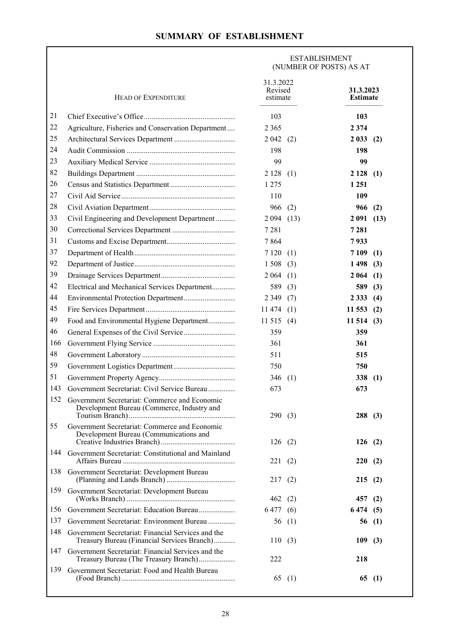## **SUMMARY OF ESTABLISHMENT**

 $\overline{\phantom{a}}$ 

|     |                                                                                                   | <b>ESTABLISHMENT</b><br>(NUMBER OF POSTS) AS AT |          |                              |       |
|-----|---------------------------------------------------------------------------------------------------|-------------------------------------------------|----------|------------------------------|-------|
|     | <b>HEAD OF EXPENDITURE</b>                                                                        | 31.3.2022<br>Revised<br>estimate                |          | 31.3.2023<br><b>Estimate</b> |       |
| 21  |                                                                                                   | 103                                             |          | 103                          |       |
| 22  | Agriculture, Fisheries and Conservation Department                                                | 2 3 6 5                                         |          | 2 3 7 4                      |       |
| 25  |                                                                                                   | 2 0 4 2                                         | (2)      | 2 0 3 3                      | (2)   |
| 24  |                                                                                                   | 198                                             |          | 198                          |       |
| 23  |                                                                                                   | 99                                              |          | 99                           |       |
| 82  |                                                                                                   | 2128(1)                                         |          | 2 1 2 8                      | (1)   |
| 26  |                                                                                                   | 1 2 7 5                                         |          | 1 2 5 1                      |       |
| 27  |                                                                                                   | 110                                             |          | 109                          |       |
| 28  |                                                                                                   | 966                                             | (2)      | 966                          | (2)   |
| 33  | Civil Engineering and Development Department                                                      | 2094(13)                                        |          | 2 0 9 1                      | (13)  |
| 30  |                                                                                                   | 7 2 8 1                                         |          | 7 2 8 1                      |       |
| 31  |                                                                                                   | 7864                                            |          | 7933                         |       |
| 37  |                                                                                                   | 7 1 2 0                                         | (1)      | 7 1 0 9                      | (1)   |
| 92  |                                                                                                   | 1 5 0 8                                         | (3)      | 1498                         | (3)   |
| 39  |                                                                                                   | 2 0 6 4                                         | (1)      | 2 0 6 4                      | (1)   |
| 42  | Electrical and Mechanical Services Department                                                     | 589                                             | (3)      | 589                          | (3)   |
| 44  |                                                                                                   | 2 3 4 9                                         | (7)      | 2 3 3 3                      | (4)   |
| 45  |                                                                                                   | 11 474                                          | (1)      | 11 553                       | (2)   |
| 49  | Food and Environmental Hygiene Department                                                         | 11 515                                          | (4)      | 11 514                       | (3)   |
| 46  |                                                                                                   | 359                                             |          | 359                          |       |
| 166 |                                                                                                   | 361                                             |          | 361                          |       |
| 48  |                                                                                                   | 511                                             |          | 515                          |       |
| 59  |                                                                                                   | 750                                             |          | 750                          |       |
| 51  |                                                                                                   | 346                                             | (1)      | 338                          | (1)   |
| 143 | Government Secretariat: Civil Service Bureau                                                      | 673                                             |          | 673                          |       |
| 152 | Government Secretariat: Commerce and Economic<br>Development Bureau (Commerce, Industry and       | 290(3)                                          |          | 288(3)                       |       |
| 55  | Government Secretariat: Commerce and Economic<br>Development Bureau (Communications and           | 126(2)                                          |          | 126(2)                       |       |
| 144 | Government Secretariat: Constitutional and Mainland                                               | 221                                             | (2)      | 220                          | (2)   |
| 138 | Government Secretariat: Development Bureau                                                        | 217                                             | (2)      | 215                          | (2)   |
| 159 | Government Secretariat: Development Bureau                                                        | 462                                             | (2)      | 457                          | (2)   |
| 156 | Government Secretariat: Education Bureau                                                          | 6 477 (6)                                       |          | 6 474                        | (5)   |
| 137 | Government Secretariat: Environment Bureau                                                        |                                                 | 56 $(1)$ |                              | 56(1) |
| 148 | Government Secretariat: Financial Services and the<br>Treasury Bureau (Financial Services Branch) | 110(3)                                          |          | 109                          | (3)   |
| 147 | Government Secretariat: Financial Services and the<br>Treasury Bureau (The Treasury Branch)       | 222                                             |          | 218                          |       |
| 139 | Government Secretariat: Food and Health Bureau                                                    |                                                 | 65 $(1)$ | 65                           | (1)   |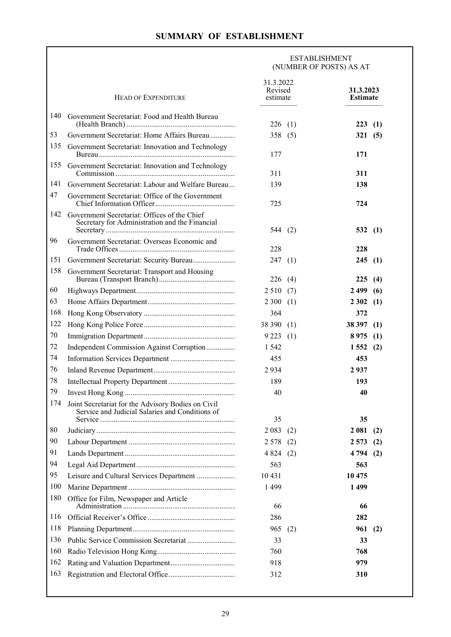## **SUMMARY OF ESTABLISHMENT**

 $\Gamma$ 

|     |                                                                                                       | <b>ESTABLISHMENT</b><br>(NUMBER OF POSTS) AS AT |     |                              |     |  |
|-----|-------------------------------------------------------------------------------------------------------|-------------------------------------------------|-----|------------------------------|-----|--|
|     | <b>HEAD OF EXPENDITURE</b>                                                                            | 31.3.2022<br>Revised<br>estimate                |     | 31.3.2023<br><b>Estimate</b> |     |  |
| 140 | Government Secretariat: Food and Health Bureau                                                        | 226(1)                                          |     | 223(1)                       |     |  |
| 53  | Government Secretariat: Home Affairs Bureau                                                           | 358(5)                                          |     | 321(5)                       |     |  |
| 135 | Government Secretariat: Innovation and Technology                                                     | 177                                             |     | 171                          |     |  |
| 155 | Government Secretariat: Innovation and Technology                                                     | 311                                             |     | 311                          |     |  |
| 141 | Government Secretariat: Labour and Welfare Bureau                                                     | 139                                             |     | 138                          |     |  |
| 47  | Government Secretariat: Office of the Government                                                      | 725                                             |     | 724                          |     |  |
| 142 | Government Secretariat: Offices of the Chief<br>Secretary for Administration and the Financial        | 544 $(2)$                                       |     | 532(1)                       |     |  |
| 96  | Government Secretariat: Overseas Economic and                                                         | 228                                             |     | 228                          |     |  |
| 151 |                                                                                                       | 247(1)                                          |     | 245(1)                       |     |  |
| 158 | Government Secretariat: Transport and Housing                                                         | 226(4)                                          |     | 225(4)                       |     |  |
| 60  |                                                                                                       | 2510(7)                                         |     | 2499(6)                      |     |  |
| 63  |                                                                                                       | 2300(1)                                         |     | 2302(1)                      |     |  |
| 168 |                                                                                                       | 364                                             |     | 372                          |     |  |
| 122 |                                                                                                       | 38 390 (1)                                      |     | 38 397                       | (1) |  |
| 70  |                                                                                                       | 9223(1)                                         |     | 8975                         | (1) |  |
| 72  | Independent Commission Against Corruption                                                             | 1 5 4 2                                         |     | 1552(2)                      |     |  |
| 74  |                                                                                                       | 455                                             |     | 453                          |     |  |
| 76  |                                                                                                       | 2934                                            |     | 2937                         |     |  |
| 78  |                                                                                                       | 189                                             |     | 193                          |     |  |
| 79  |                                                                                                       | 40                                              |     | 40                           |     |  |
| 174 | Joint Secretariat for the Advisory Bodies on Civil<br>Service and Judicial Salaries and Conditions of | 35                                              |     | 35                           |     |  |
| 80  |                                                                                                       | 2 0 8 3                                         | (2) | 2 0 8 1                      | (2) |  |
| 90  |                                                                                                       | 2 5 7 8                                         | (2) | 2 5 7 3                      | (2) |  |
| 91  |                                                                                                       | 4 8 2 4                                         | (2) | 4 794                        | (2) |  |
| 94  |                                                                                                       | 563                                             |     | 563                          |     |  |
| 95  |                                                                                                       | 10 4 31                                         |     | 10 475                       |     |  |
| 100 |                                                                                                       | 1499                                            |     | 1499                         |     |  |
| 180 | Office for Film, Newspaper and Article                                                                | 66                                              |     | 66                           |     |  |
| 116 |                                                                                                       | 286                                             |     | 282                          |     |  |
| 118 |                                                                                                       | 965                                             | (2) | 961                          | (2) |  |
| 136 |                                                                                                       | 33                                              |     | 33                           |     |  |
| 160 |                                                                                                       | 760                                             |     | 768                          |     |  |
| 162 |                                                                                                       | 918                                             |     | 979                          |     |  |
| 163 |                                                                                                       | 312                                             |     | 310                          |     |  |